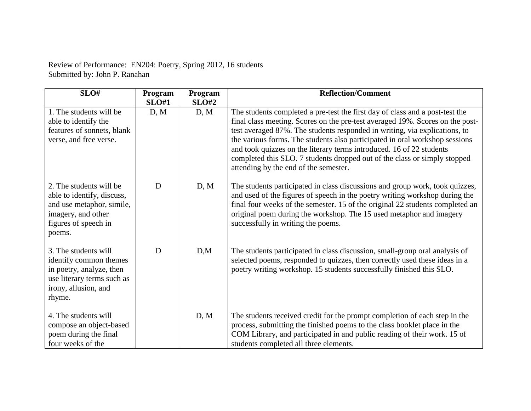| Review of Performance: EN204: Poetry, Spring 2012, 16 students |  |  |
|----------------------------------------------------------------|--|--|
| Submitted by: John P. Ranahan                                  |  |  |

| SLO#                                                                                                                                       | Program      | Program | <b>Reflection/Comment</b>                                                                                                                                                                                                                                                                                                                                                                                                                                                                                                |
|--------------------------------------------------------------------------------------------------------------------------------------------|--------------|---------|--------------------------------------------------------------------------------------------------------------------------------------------------------------------------------------------------------------------------------------------------------------------------------------------------------------------------------------------------------------------------------------------------------------------------------------------------------------------------------------------------------------------------|
|                                                                                                                                            | <b>SLO#1</b> | SLO#2   |                                                                                                                                                                                                                                                                                                                                                                                                                                                                                                                          |
| 1. The students will be<br>able to identify the<br>features of sonnets, blank<br>verse, and free verse.                                    | D, M         | D, M    | The students completed a pre-test the first day of class and a post-test the<br>final class meeting. Scores on the pre-test averaged 19%. Scores on the post-<br>test averaged 87%. The students responded in writing, via explications, to<br>the various forms. The students also participated in oral workshop sessions<br>and took quizzes on the literary terms introduced. 16 of 22 students<br>completed this SLO. 7 students dropped out of the class or simply stopped<br>attending by the end of the semester. |
| 2. The students will be<br>able to identify, discuss,<br>and use metaphor, simile,<br>imagery, and other<br>figures of speech in<br>poems. | D            | D, M    | The students participated in class discussions and group work, took quizzes,<br>and used of the figures of speech in the poetry writing workshop during the<br>final four weeks of the semester. 15 of the original 22 students completed an<br>original poem during the workshop. The 15 used metaphor and imagery<br>successfully in writing the poems.                                                                                                                                                                |
| 3. The students will<br>identify common themes<br>in poetry, analyze, then<br>use literary terms such as<br>irony, allusion, and<br>rhyme. | D            | D,M     | The students participated in class discussion, small-group oral analysis of<br>selected poems, responded to quizzes, then correctly used these ideas in a<br>poetry writing workshop. 15 students successfully finished this SLO.                                                                                                                                                                                                                                                                                        |
| 4. The students will<br>compose an object-based<br>poem during the final<br>four weeks of the                                              |              | D, M    | The students received credit for the prompt completion of each step in the<br>process, submitting the finished poems to the class booklet place in the<br>COM Library, and participated in and public reading of their work. 15 of<br>students completed all three elements.                                                                                                                                                                                                                                             |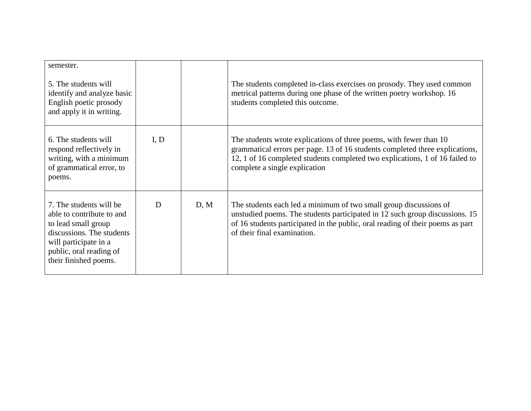| semester.<br>5. The students will<br>identify and analyze basic<br>English poetic prosody<br>and apply it in writing.                                                                 |      |      | The students completed in-class exercises on prosody. They used common<br>metrical patterns during one phase of the written poetry workshop. 16<br>students completed this outcome.                                                                                 |
|---------------------------------------------------------------------------------------------------------------------------------------------------------------------------------------|------|------|---------------------------------------------------------------------------------------------------------------------------------------------------------------------------------------------------------------------------------------------------------------------|
| 6. The students will<br>respond reflectively in<br>writing, with a minimum<br>of grammatical error, to<br>poems.                                                                      | I, D |      | The students wrote explications of three poems, with fewer than 10<br>grammatical errors per page. 13 of 16 students completed three explications,<br>12, 1 of 16 completed students completed two explications, 1 of 16 failed to<br>complete a single explication |
| 7. The students will be<br>able to contribute to and<br>to lead small group<br>discussions. The students<br>will participate in a<br>public, oral reading of<br>their finished poems. | D    | D, M | The students each led a minimum of two small group discussions of<br>unstudied poems. The students participated in 12 such group discussions. 15<br>of 16 students participated in the public, oral reading of their poems as part<br>of their final examination.   |